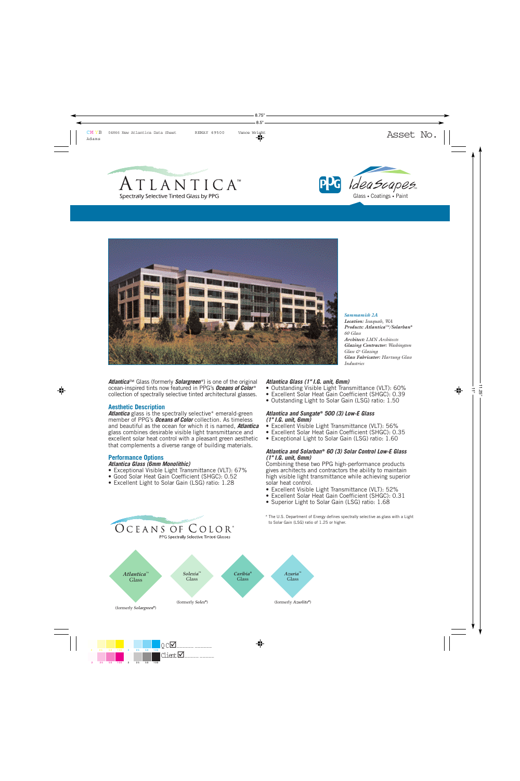





**Atlantica**™ Glass (formerly **Solargreen**<sup>®</sup>) is one of the original ocean-inspired tints now featured in PPG's *Oceans of Color* ® collection of spectrally selective tinted architectural glasses.

## **Aesthetic Description**

Atlantica glass is the spectrally selective\* emerald-green member of PPG's *Oceans of Color* collection. As timeless and beautiful as the ocean for which it is named, *Atlantica* glass combines desirable visible light transmittance and excellent solar heat control with a pleasant green aesthetic that complements a diverse range of building materials.

#### **Performance Options**

# *Atlantica Glass (6mm Monolithic)*

- Exceptional Visible Light Transmittance (VLT): 67%
- Good Solar Heat Gain Coefficient (SHGC): 0.52
- Excellent Light to Solar Gain (LSG) ratio: 1.28

OCEANS OF COLOR®

PPG Spectrally Selective Tinted Glasses

#### *Atlantica Glass (1" I.G. unit, 6mm)*

- Outstanding Visible Light Transmittance (VLT): 60%
- Excellent Solar Heat Gain Coefficient (SHGC): 0.39
- Outstanding Light to Solar Gain (LSG) ratio: 1.50

#### *Atlantica and Sungate* **®** *500 (3) Low-E Glass (1" I.G. unit, 6mm)*

- Excellent Visible Light Transmittance (VLT): 56%
- Excellent Solar Heat Gain Coefficient (SHGC): 0.35
- Exceptional Light to Solar Gain (LSG) ratio: 1.60

#### *Atlantica and Solarban* **®** *60 (3) Solar Control Low-E Glass (1" I.G. unit, 6mm)*

Combining these two PPG high-performance products gives architects and contractors the ability to maintain high visible light transmittance while achieving superior solar heat control.

- Excellent Visible Light Transmittance (VLT): 52%
- Excellent Solar Heat Gain Coefficient (SHGC): 0.31
- Superior Light to Solar Gain (LSG) ratio: 1.68
- \* The U.S. Department of Energy defines spectrally selective as glass with a Light to Solar Gain (LSG) ratio of 1.25 or higher.